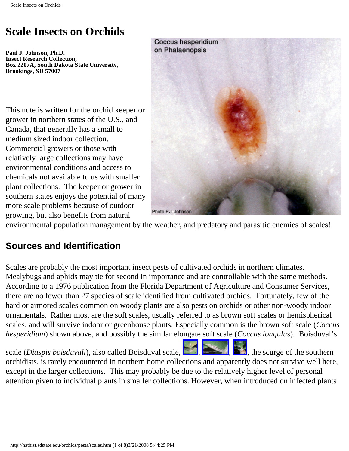**Paul J. Johnson, Ph.D. Insect Research Collection, Box 2207A, South Dakota State University, Brookings, SD 57007** 

This note is written for the orchid keeper or grower in northern states of the U.S., and Canada, that generally has a small to medium sized indoor collection. Commercial growers or those with relatively large collections may have environmental conditions and access to chemicals not available to us with smaller plant collections. The keeper or grower in southern states enjoys the potential of many more scale problems because of outdoor growing, but also benefits from natural



environmental population management by the weather, and predatory and parasitic enemies of scales!

#### **Sources and Identification**

Scales are probably the most important insect pests of cultivated orchids in northern climates. Mealybugs and aphids may tie for second in importance and are controllable with the same methods. According to a 1976 publication from the Florida Department of Agriculture and Consumer Services, there are no fewer than 27 species of scale identified from cultivated orchids. Fortunately, few of the hard or armored scales common on woody plants are also pests on orchids or other non-woody indoor ornamentals. Rather most are the soft scales, usually referred to as brown soft scales or hemispherical scales, and will survive indoor or greenhouse plants. Especially common is the brown soft scale (*Coccus hesperidium*) shown above, and possibly the similar elongate soft scale (*Coccus longulus*). Boisduval's

scale (*Diaspis boisduvali*), also called Boisduval scale,  $\Box$ ,  $\Box$ ,  $\Box$ , the scurge of the southern orchidists, is rarely encountered in northern home collections and apparently does not survive well here, except in the larger collections. This may probably be due to the relatively higher level of personal attention given to individual plants in smaller collections. However, when introduced on infected plants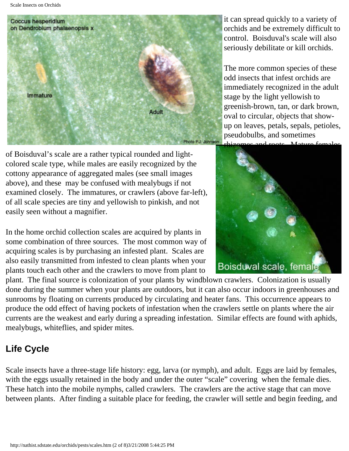

it can spread quickly to a variety of orchids and be extremely difficult to control. Boisduval's scale will also seriously debilitate or kill orchids.

The more common species of these odd insects that infest orchids are immediately recognized in the adult stage by the light yellowish to greenish-brown, tan, or dark brown, oval to circular, objects that showup on leaves, petals, sepals, petioles, pseudobulbs, and sometimes

of Boisduval's scale are a rather typical rounded and lightcolored scale type, while males are easily recognized by the cottony appearance of aggregated males (see small images above), and these may be confused with mealybugs if not examined closely. The immatures, or crawlers (above far-left), of all scale species are tiny and yellowish to pinkish, and not easily seen without a magnifier.

In the home orchid collection scales are acquired by plants in some combination of three sources. The most common way of acquiring scales is by purchasing an infested plant. Scales are also easily transmitted from infested to clean plants when your plants touch each other and the crawlers to move from plant to



plant. The final source is colonization of your plants by windblown crawlers. Colonization is usually done during the summer when your plants are outdoors, but it can also occur indoors in greenhouses and sunrooms by floating on currents produced by circulating and heater fans. This occurrence appears to produce the odd effect of having pockets of infestation when the crawlers settle on plants where the air currents are the weakest and early during a spreading infestation. Similar effects are found with aphids, mealybugs, whiteflies, and spider mites.

# **Life Cycle**

Scale insects have a three-stage life history: egg, larva (or nymph), and adult. Eggs are laid by females, with the eggs usually retained in the body and under the outer "scale" covering when the female dies. These hatch into the mobile nymphs, called crawlers. The crawlers are the active stage that can move between plants. After finding a suitable place for feeding, the crawler will settle and begin feeding, and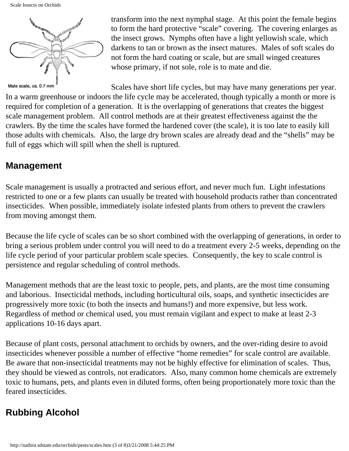

Male scale, ca. 0.7 mm

transform into the next nymphal stage. At this point the female begins to form the hard protective "scale" covering. The covering enlarges as the insect grows. Nymphs often have a light yellowish scale, which darkens to tan or brown as the insect matures. Males of soft scales do not form the hard coating or scale, but are small winged creatures whose primary, if not sole, role is to mate and die.

Scales have short life cycles, but may have many generations per year. In a warm greenhouse or indoors the life cycle may be accelerated, though typically a month or more is required for completion of a generation. It is the overlapping of generations that creates the biggest scale management problem. All control methods are at their greatest effectiveness against the the crawlers. By the time the scales have formed the hardened cover (the scale), it is too late to easily kill those adults with chemicals. Also, the large dry brown scales are already dead and the "shells" may be full of eggs which will spill when the shell is ruptured.

#### **Management**

Scale management is usually a protracted and serious effort, and never much fun. Light infestations restricted to one or a few plants can usually be treated with household products rather than concentrated insecticides. When possible, immediately isolate infested plants from others to prevent the crawlers from moving amongst them.

Because the life cycle of scales can be so short combined with the overlapping of generations, in order to bring a serious problem under control you will need to do a treatment every 2-5 weeks, depending on the life cycle period of your particular problem scale species. Consequently, the key to scale control is persistence and regular scheduling of control methods.

Management methods that are the least toxic to people, pets, and plants, are the most time consuming and laborious. Insecticidal methods, including horticultural oils, soaps, and synthetic insecticides are progressively more toxic (to both the insects and humans!) and more expensive, but less work. Regardless of method or chemical used, you must remain vigilant and expect to make at least 2-3 applications 10-16 days apart.

Because of plant costs, personal attachment to orchids by owners, and the over-riding desire to avoid insecticides whenever possible a number of effective "home remedies" for scale control are available. Be aware that non-insecticidal treatments may not be highly effective for elimination of scales. Thus, they should be viewed as controls, not eradicators. Also, many common home chemicals are extremely toxic to humans, pets, and plants even in diluted forms, often being proportionately more toxic than the feared insecticides.

# **Rubbing Alcohol**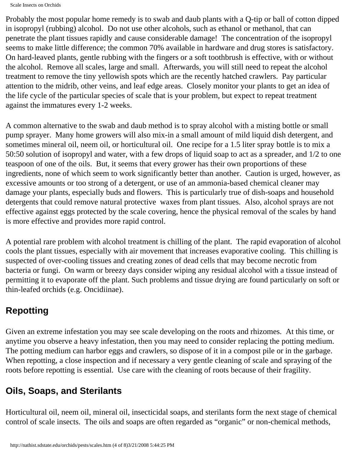Probably the most popular home remedy is to swab and daub plants with a Q-tip or ball of cotton dipped in isopropyl (rubbing) alcohol. Do not use other alcohols, such as ethanol or methanol, that can penetrate the plant tissues rapidly and cause considerable damage! The concentration of the isopropyl seems to make little difference; the common 70% available in hardware and drug stores is satisfactory. On hard-leaved plants, gentle rubbing with the fingers or a soft toothbrush is effective, with or without the alcohol. Remove all scales, large and small. Afterwards, you will still need to repeat the alcohol treatment to remove the tiny yellowish spots which are the recently hatched crawlers. Pay particular attention to the midrib, other veins, and leaf edge areas. Closely monitor your plants to get an idea of the life cycle of the particular species of scale that is your problem, but expect to repeat treatment against the immatures every 1-2 weeks.

A common alternative to the swab and daub method is to spray alcohol with a misting bottle or small pump sprayer. Many home growers will also mix-in a small amount of mild liquid dish detergent, and sometimes mineral oil, neem oil, or horticultural oil. One recipe for a 1.5 liter spray bottle is to mix a 50:50 solution of isopropyl and water, with a few drops of liquid soap to act as a spreader, and 1/2 to one teaspoon of one of the oils. But, it seems that every grower has their own proportions of these ingredients, none of which seem to work significantly better than another. Caution is urged, however, as excessive amounts or too strong of a detergent, or use of an ammonia-based chemical cleaner may damage your plants, especially buds and flowers. This is particularly true of dish-soaps and household detergents that could remove natural protective waxes from plant tissues. Also, alcohol sprays are not effective against eggs protected by the scale covering, hence the physical removal of the scales by hand is more effective and provides more rapid control.

A potential rare problem with alcohol treatment is chilling of the plant. The rapid evaporation of alcohol cools the plant tissues, especially with air movement that increases evaporative cooling. This chilling is suspected of over-cooling tissues and creating zones of dead cells that may become necrotic from bacteria or fungi. On warm or breezy days consider wiping any residual alcohol with a tissue instead of permitting it to evaporate off the plant. Such problems and tissue drying are found particularly on soft or thin-leafed orchids (e.g. Oncidiinae).

## **Repotting**

Given an extreme infestation you may see scale developing on the roots and rhizomes. At this time, or anytime you observe a heavy infestation, then you may need to consider replacing the potting medium. The potting medium can harbor eggs and crawlers, so dispose of it in a compost pile or in the garbage. When repotting, a close inspection and if necessary a very gentle cleaning of scale and spraying of the roots before repotting is essential. Use care with the cleaning of roots because of their fragility.

## **Oils, Soaps, and Sterilants**

Horticultural oil, neem oil, mineral oil, insecticidal soaps, and sterilants form the next stage of chemical control of scale insects. The oils and soaps are often regarded as "organic" or non-chemical methods,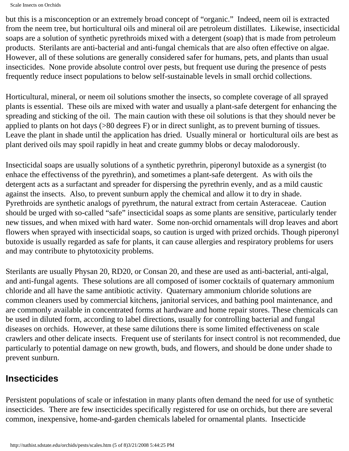```
Scale Insects on Orchids
```
but this is a misconception or an extremely broad concept of "organic." Indeed, neem oil is extracted from the neem tree, but horticultural oils and mineral oil are petroleum distillates. Likewise, insecticidal soaps are a solution of synthetic pyrethroids mixed with a detergent (soap) that is made from petroleum products. Sterilants are anti-bacterial and anti-fungal chemicals that are also often effective on algae. However, all of these solutions are generally considered safer for humans, pets, and plants than usual insecticides. None provide absolute control over pests, but frequent use during the presence of pests frequently reduce insect populations to below self-sustainable levels in small orchid collections.

Horticultural, mineral, or neem oil solutions smother the insects, so complete coverage of all sprayed plants is essential. These oils are mixed with water and usually a plant-safe detergent for enhancing the spreading and sticking of the oil. The main caution with these oil solutions is that they should never be applied to plants on hot days (>80 degrees F) or in direct sunlight, as to prevent burning of tissues. Leave the plant in shade until the application has dried. Usually mineral or horticultural oils are best as plant derived oils may spoil rapidly in heat and create gummy blobs or decay malodorously.

Insecticidal soaps are usually solutions of a synthetic pyrethrin, piperonyl butoxide as a synergist (to enhace the effectivenss of the pyrethrin), and sometimes a plant-safe detergent. As with oils the detergent acts as a surfactant and spreader for dispersing the pyrethrin evenly, and as a mild caustic against the insects. Also, to prevent sunburn apply the chemical and allow it to dry in shade. Pyrethroids are synthetic analogs of pyrethrum, the natural extract from certain Asteraceae. Caution should be urged with so-called "safe" insecticidal soaps as some plants are sensitive, particularly tender new tissues, and when mixed with hard water. Some non-orchid ornamentals will drop leaves and abort flowers when sprayed with insecticidal soaps, so caution is urged with prized orchids. Though piperonyl butoxide is usually regarded as safe for plants, it can cause allergies and respiratory problems for users and may contribute to phytotoxicity problems.

Sterilants are usually Physan 20, RD20, or Consan 20, and these are used as anti-bacterial, anti-algal, and anti-fungal agents. These solutions are all composed of isomer cocktails of quaternary ammonium chloride and all have the same antibiotic activity. Quaternary ammonium chloride solutions are common cleaners used by commercial kitchens, janitorial services, and bathing pool maintenance, and are commonly available in concentrated forms at hardware and home repair stores. These chemicals can be used in diluted form, according to label directions, usually for controlling bacterial and fungal diseases on orchids. However, at these same dilutions there is some limited effectiveness on scale crawlers and other delicate insects. Frequent use of sterilants for insect control is not recommended, due particularly to potential damage on new growth, buds, and flowers, and should be done under shade to prevent sunburn.

### **Insecticides**

Persistent populations of scale or infestation in many plants often demand the need for use of synthetic insecticides. There are few insecticides specifically registered for use on orchids, but there are several common, inexpensive, home-and-garden chemicals labeled for ornamental plants. Insecticide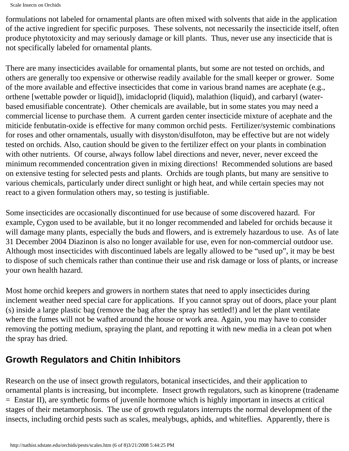Scale Insects on Orchids

formulations not labeled for ornamental plants are often mixed with solvents that aide in the application of the active ingredient for specific purposes. These solvents, not necessarily the insecticide itself, often produce phytotoxicity and may seriously damage or kill plants. Thus, never use any insecticide that is not specifically labeled for ornamental plants.

There are many insecticides available for ornamental plants, but some are not tested on orchids, and others are generally too expensive or otherwise readily available for the small keeper or grower. Some of the more available and effective insecticides that come in various brand names are acephate (e.g., orthene [wettable powder or liquid]), imidacloprid (liquid), malathion (liquid), and carbaryl (waterbased emusifiable concentrate). Other chemicals are available, but in some states you may need a commercial license to purchase them. A current garden center insecticide mixture of acephate and the miticide fenbutatin-oxide is effective for many common orchid pests. Fertilizer/systemic combinations for roses and other ornamentals, usually with disyston/disulfoton, may be effective but are not widely tested on orchids. Also, caution should be given to the fertilizer effect on your plants in combination with other nutrients. Of course, always follow label directions and never, never, never exceed the minimum recommended concentration given in mixing directions! Recommended solutions are based on extensive testing for selected pests and plants. Orchids are tough plants, but many are sensitive to various chemicals, particularly under direct sunlight or high heat, and while certain species may not react to a given formulation others may, so testing is justifiable.

Some insecticides are occasionally discontinued for use because of some discovered hazard. For example, Cygon used to be available, but it no longer recommended and labeled for orchids because it will damage many plants, especially the buds and flowers, and is extremely hazardous to use. As of late 31 December 2004 Diazinon is also no longer available for use, even for non-commercial outdoor use. Although most insecticides with discontinued labels are legally allowed to be "used up", it may be best to dispose of such chemicals rather than continue their use and risk damage or loss of plants, or increase your own health hazard.

Most home orchid keepers and growers in northern states that need to apply insecticides during inclement weather need special care for applications. If you cannot spray out of doors, place your plant (s) inside a large plastic bag (remove the bag after the spray has settled!) and let the plant ventilate where the fumes will not be wafted around the house or work area. Again, you may have to consider removing the potting medium, spraying the plant, and repotting it with new media in a clean pot when the spray has dried.

### **Growth Regulators and Chitin Inhibitors**

Research on the use of insect growth regulators, botanical insecticides, and their application to ornamental plants is increasing, but incomplete. Insect growth regulators, such as kinoprene (tradename = Enstar II), are synthetic forms of juvenile hormone which is highly important in insects at critical stages of their metamorphosis. The use of growth regulators interrupts the normal development of the insects, including orchid pests such as scales, mealybugs, aphids, and whiteflies. Apparently, there is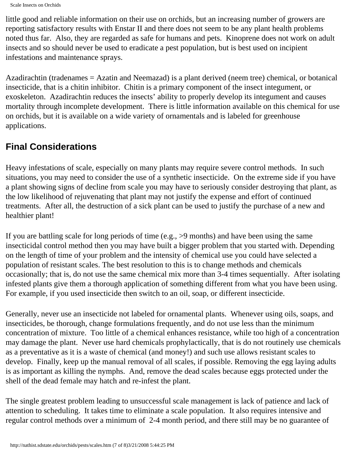Scale Insects on Orchids

little good and reliable information on their use on orchids, but an increasing number of growers are reporting satisfactory results with Enstar II and there does not seem to be any plant health problems noted thus far. Also, they are regarded as safe for humans and pets. Kinoprene does not work on adult insects and so should never be used to eradicate a pest population, but is best used on incipient infestations and maintenance sprays.

Azadirachtin (tradenames = Azatin and Neemazad) is a plant derived (neem tree) chemical, or botanical insecticide, that is a chitin inhibitor. Chitin is a primary component of the insect integument, or exoskeleton. Azadirachtin reduces the insects' ability to properly develop its integument and causes mortality through incomplete development. There is little information available on this chemical for use on orchids, but it is available on a wide variety of ornamentals and is labeled for greenhouse applications.

### **Final Considerations**

Heavy infestations of scale, especially on many plants may require severe control methods. In such situations, you may need to consider the use of a synthetic insecticide. On the extreme side if you have a plant showing signs of decline from scale you may have to seriously consider destroying that plant, as the low likelihood of rejuvenating that plant may not justify the expense and effort of continued treatments. After all, the destruction of a sick plant can be used to justify the purchase of a new and healthier plant!

If you are battling scale for long periods of time (e.g., >9 months) and have been using the same insecticidal control method then you may have built a bigger problem that you started with. Depending on the length of time of your problem and the intensity of chemical use you could have selected a population of resistant scales. The best resolution to this is to change methods and chemicals occasionally; that is, do not use the same chemical mix more than 3-4 times sequentially. After isolating infested plants give them a thorough application of something different from what you have been using. For example, if you used insecticide then switch to an oil, soap, or different insecticide.

Generally, never use an insecticide not labeled for ornamental plants. Whenever using oils, soaps, and insecticides, be thorough, change formulations frequently, and do not use less than the minimum concentration of mixture. Too little of a chemical enhances resistance, while too high of a concentration may damage the plant. Never use hard chemicals prophylactically, that is do not routinely use chemicals as a preventative as it is a waste of chemical (and money!) and such use allows resistant scales to develop. Finally, keep up the manual removal of all scales, if possible. Removing the egg laying adults is as important as killing the nymphs. And, remove the dead scales because eggs protected under the shell of the dead female may hatch and re-infest the plant.

The single greatest problem leading to unsuccessful scale management is lack of patience and lack of attention to scheduling. It takes time to eliminate a scale population. It also requires intensive and regular control methods over a minimum of 2-4 month period, and there still may be no guarantee of